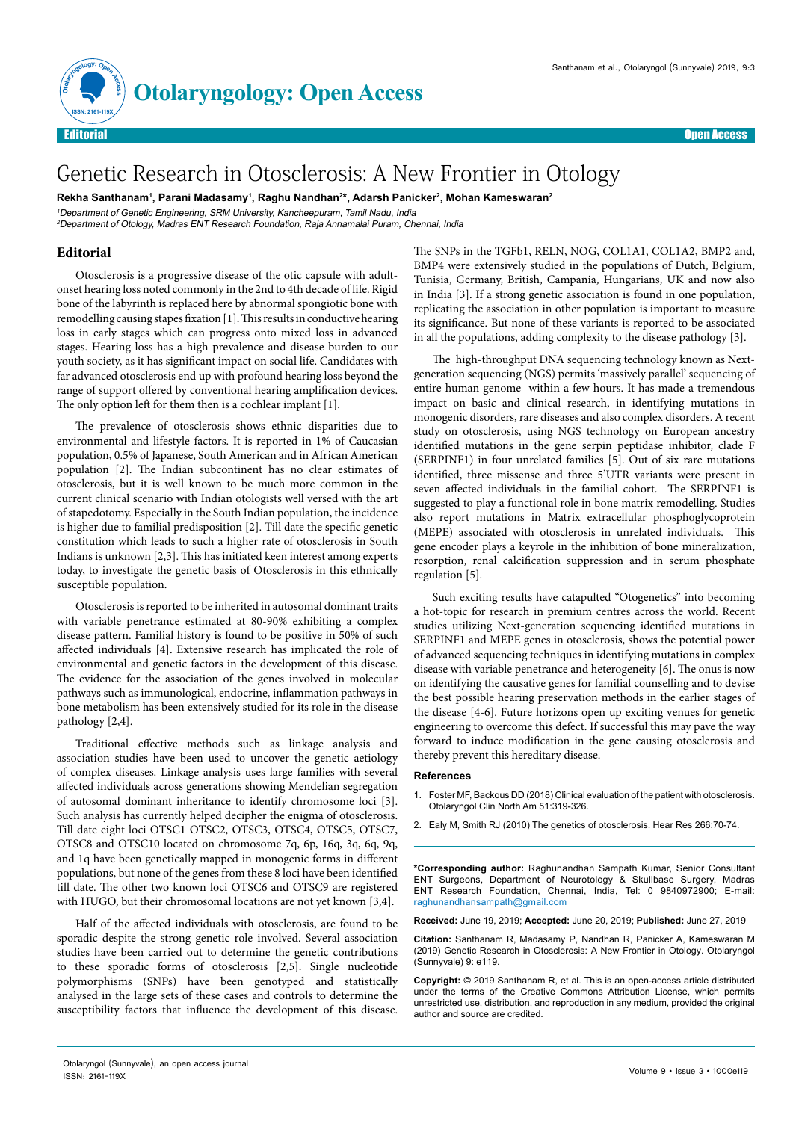



## Genetic Research in Otosclerosis: A New Frontier in Otology

**Rekha Santhanam1 , Parani Madasamy1 , Raghu Nandhan2 \*, Adarsh Panicker2 , Mohan Kameswaran2**

<sup>1</sup>Department of Genetic Engineering, SRM University, Kancheepuram, Tamil Nadu, India

<sup>2</sup>Department of Otology, Madras ENT Research Foundation, Raja Annamalai Puram, Chennai, India

## **Editorial**

Otosclerosis is a progressive disease of the otic capsule with adultonset hearing loss noted commonly in the 2nd to 4th decade of life. Rigid bone of the labyrinth is replaced here by abnormal spongiotic bone with remodelling causing stapes fixation [1]. This results in conductive hearing loss in early stages which can progress onto mixed loss in advanced stages. Hearing loss has a high prevalence and disease burden to our youth society, as it has significant impact on social life. Candidates with far advanced otosclerosis end up with profound hearing loss beyond the range of support offered by conventional hearing amplification devices. The only option left for them then is a cochlear implant [1].

The prevalence of otosclerosis shows ethnic disparities due to environmental and lifestyle factors. It is reported in 1% of Caucasian population, 0.5% of Japanese, South American and in African American population [2]. The Indian subcontinent has no clear estimates of otosclerosis, but it is well known to be much more common in the current clinical scenario with Indian otologists well versed with the art of stapedotomy. Especially in the South Indian population, the incidence is higher due to familial predisposition [2]. Till date the specific genetic constitution which leads to such a higher rate of otosclerosis in South Indians is unknown [2,3]. This has initiated keen interest among experts today, to investigate the genetic basis of Otosclerosis in this ethnically susceptible population.

Otosclerosis is reported to be inherited in autosomal dominant traits with variable penetrance estimated at 80-90% exhibiting a complex disease pattern. Familial history is found to be positive in 50% of such affected individuals [4]. Extensive research has implicated the role of environmental and genetic factors in the development of this disease. The evidence for the association of the genes involved in molecular pathways such as immunological, endocrine, inflammation pathways in bone metabolism has been extensively studied for its role in the disease pathology [2,4].

Traditional effective methods such as linkage analysis and association studies have been used to uncover the genetic aetiology of complex diseases. Linkage analysis uses large families with several affected individuals across generations showing Mendelian segregation of autosomal dominant inheritance to identify chromosome loci [3]. Such analysis has currently helped decipher the enigma of otosclerosis. Till date eight loci OTSC1 OTSC2, OTSC3, OTSC4, OTSC5, OTSC7, OTSC8 and OTSC10 located on chromosome 7q, 6p, 16q, 3q, 6q, 9q, and 1q have been genetically mapped in monogenic forms in different populations, but none of the genes from these 8 loci have been identified till date. The other two known loci OTSC6 and OTSC9 are registered with HUGO, but their chromosomal locations are not yet known [3,4].

Half of the affected individuals with otosclerosis, are found to be sporadic despite the strong genetic role involved. Several association studies have been carried out to determine the genetic contributions to these sporadic forms of otosclerosis [2,5]. Single nucleotide polymorphisms (SNPs) have been genotyped and statistically analysed in the large sets of these cases and controls to determine the susceptibility factors that influence the development of this disease.

The SNPs in the TGFb1, RELN, NOG, COL1A1, COL1A2, BMP2 and, BMP4 were extensively studied in the populations of Dutch, Belgium, Tunisia, Germany, British, Campania, Hungarians, UK and now also in India [3]. If a strong genetic association is found in one population, replicating the association in other population is important to measure its significance. But none of these variants is reported to be associated in all the populations, adding complexity to the disease pathology [3].

The high-throughput DNA sequencing technology known as Nextgeneration sequencing (NGS) permits 'massively parallel' sequencing of entire human genome within a few hours. It has made a tremendous impact on basic and clinical research, in identifying mutations in monogenic disorders, rare diseases and also complex disorders. A recent study on otosclerosis, using NGS technology on European ancestry identified mutations in the gene serpin peptidase inhibitor, clade F (SERPINF1) in four unrelated families [5]. Out of six rare mutations identified, three missense and three 5'UTR variants were present in seven affected individuals in the familial cohort. The SERPINF1 is suggested to play a functional role in bone matrix remodelling. Studies also report mutations in Matrix extracellular phosphoglycoprotein (MEPE) associated with otosclerosis in unrelated individuals. This gene encoder plays a keyrole in the inhibition of bone mineralization, resorption, renal calcification suppression and in serum phosphate regulation [5].

Such exciting results have catapulted "Otogenetics" into becoming a hot-topic for research in premium centres across the world. Recent studies utilizing Next-generation sequencing identified mutations in SERPINF1 and MEPE genes in otosclerosis, shows the potential power of advanced sequencing techniques in identifying mutations in complex disease with variable penetrance and heterogeneity [6]. The onus is now on identifying the causative genes for familial counselling and to devise the best possible hearing preservation methods in the earlier stages of the disease [4-6]. Future horizons open up exciting venues for genetic engineering to overcome this defect. If successful this may pave the way forward to induce modification in the gene causing otosclerosis and thereby prevent this hereditary disease.

## **References**

- 1. [Foster MF, Backous DD \(2018\) Clinical evaluation of the patient with otosclerosis.](https://doi.org/10.1016/j.otc.2017.11.004)  [Otolaryngol Clin North Am 51:319-326.](https://doi.org/10.1016/j.otc.2017.11.004)
- 2. [Ealy M, Smith RJ \(2010\) The genetics of otosclerosis. Hear Res 266:70-74.](https://doi.org/10.1016/j.heares.2009.07.002)

**\*Corresponding author:** Raghunandhan Sampath Kumar, Senior Consultant ENT Surgeons, Department of Neurotology & Skullbase Surgery, Madras ENT Research Foundation, Chennai, India, Tel: 0 9840972900; E-mail: raghunandhansampath@gmail.com

**Received:** June 19, 2019; **Accepted:** June 20, 2019; **Published:** June 27, 2019

**Citation:** Santhanam R, Madasamy P, Nandhan R, Panicker A, Kameswaran M (2019) Genetic Research in Otosclerosis: A New Frontier in Otology. Otolaryngol (Sunnyvale) 9: e119.

**Copyright:** © 2019 Santhanam R, et al. This is an open-access article distributed under the terms of the Creative Commons Attribution License, which permits unrestricted use, distribution, and reproduction in any medium, provided the original author and source are credited.